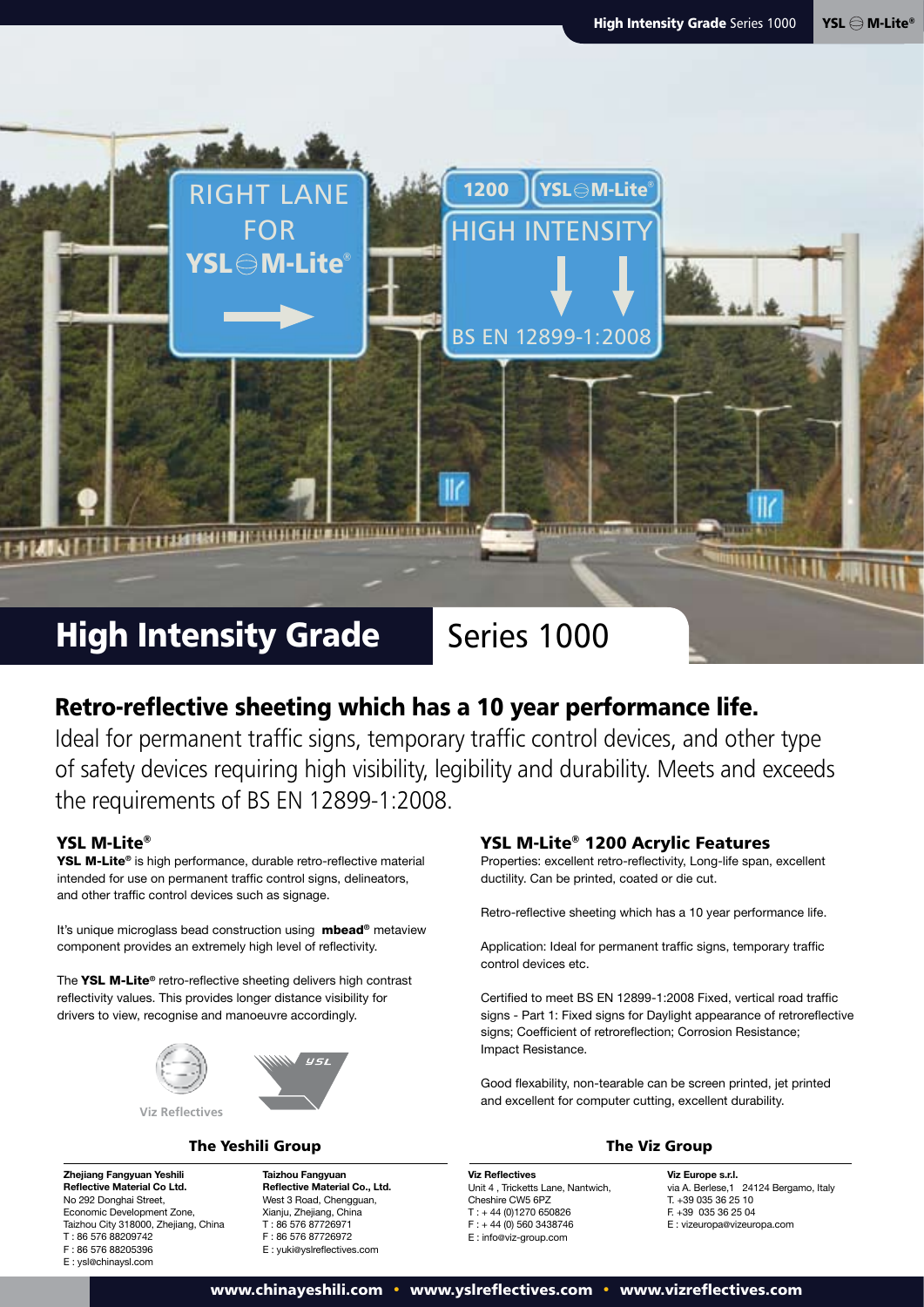

## Retro-reflective sheeting which has a 10 year performance life.

Ideal for permanent traffic signs, temporary traffic control devices, and other type of safety devices requiring high visibility, legibility and durability. Meets and exceeds the requirements of BS EN 12899-1:2008.

### YSL M-Lite®

YSL M-Lite**®** is high performance, durable retro-reflective material intended for use on permanent traffic control signs, delineators, and other traffic control devices such as signage.

It's unique microglass bead construction using mbead**®** metaview component provides an extremely high level of reflectivity.

The YSL M-Lite**®** retro-reflective sheeting delivers high contrast reflectivity values. This provides longer distance visibility for drivers to view, recognise and manoeuvre accordingly.





#### **Zhejiang Fangyuan Yeshili Reflective Material Co Ltd.**  No 292 Donghai Street, Economic Development Zone, Taizhou City 318000, Zhejiang, China T : 86 576 88209742 F : 86 576 88205396 E : ysl@chinaysl.com

**Taizhou Fangyuan Reflective Material Co., Ltd.**  West 3 Road, Chengguan, Xianju, Zhejiang, China T : 86 576 87726971 F : 86 576 87726972 E : yuki@yslreflectives.com

 $U \subseteq I$ 

#### YSL M-Lite® 1200 Acrylic Features

Properties: excellent retro-reflectivity, Long-life span, excellent ductility. Can be printed, coated or die cut.

Retro-reflective sheeting which has a 10 year performance life.

Application: Ideal for permanent traffic signs, temporary traffic control devices etc.

Certified to meet BS EN 12899-1:2008 Fixed, vertical road traffic signs - Part 1: Fixed signs for Daylight appearance of retroreflective signs; Coefficient of retroreflection; Corrosion Resistance; Impact Resistance.

Good flexability, non-tearable can be screen printed, jet printed and excellent for computer cutting, excellent durability.

**Viz Reflectives**  Unit 4 , Tricketts Lane, Nantwich, Cheshire CW5 6PZ T : + 44 (0)1270 650826  $F : +44(0)$  560 3438746 E : info@viz-group.com

**Viz Europe s.r.l.** via A. Berlese, 1 24124 Bergamo, Italy T. +39 035 36 25 10 F. +39 035 36 25 04 E : vizeuropa@vizeuropa.com

www.chinayeshili.com • www.yslreflectives.com • www.vizreflectives.com